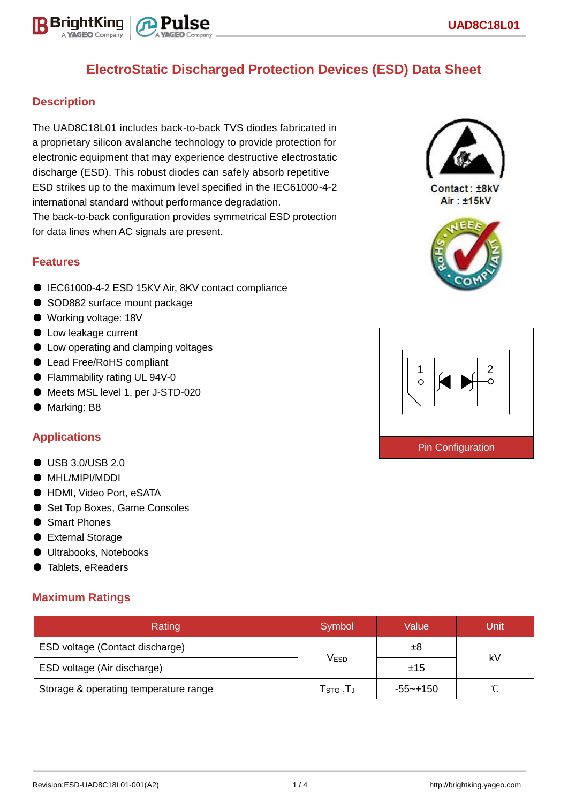

## **Description**

The UAD8C18L01 includes back-to-back TVS diodes fabricated in a proprietary silicon avalanche technology to provide protection for electronic equipment that may experience destructive electrostatic discharge (ESD). This robust diodes can safely absorb repetitive ESD strikes up to the maximum level specified in the IEC61000-4-2 international standard without performance degradation. The back-to-back configuration provides symmetrical ESD protection for data lines when AC signals are present.

### **Features**

- IEC61000-4-2 ESD 15KV Air, 8KV contact compliance
- SOD882 surface mount package
- Working voltage: 18V
- Low leakage current
- Low operating and clamping voltages
- Lead Free/RoHS compliant
- Flammability rating UL 94V-0
- Meets MSL level 1, per J-STD-020
- Marking: B8

## **Applications**

- USB 3.0/USB 2.0
- MHL/MIPI/MDDI
- HDMI, Video Port, eSATA
- Set Top Boxes, Game Consoles
- Smart Phones
- External Storage
- Ultrabooks, Notebooks
- Tablets, eReaders

## **Maximum Ratings**

| Rating                                | Symbol                                                  | Value       | Unit |  |
|---------------------------------------|---------------------------------------------------------|-------------|------|--|
| ESD voltage (Contact discharge)       |                                                         | ±8          |      |  |
| ESD voltage (Air discharge)           | $\mathsf{V}_{\mathsf{ESD}}$                             | ±15         | kV   |  |
| Storage & operating temperature range | ${\mathsf T}_{\texttt{STG}}\,, {\mathsf T}_{\mathsf J}$ | $-55$ ~+150 | ∽    |  |



Contact: ±8kV Air: ±15kV



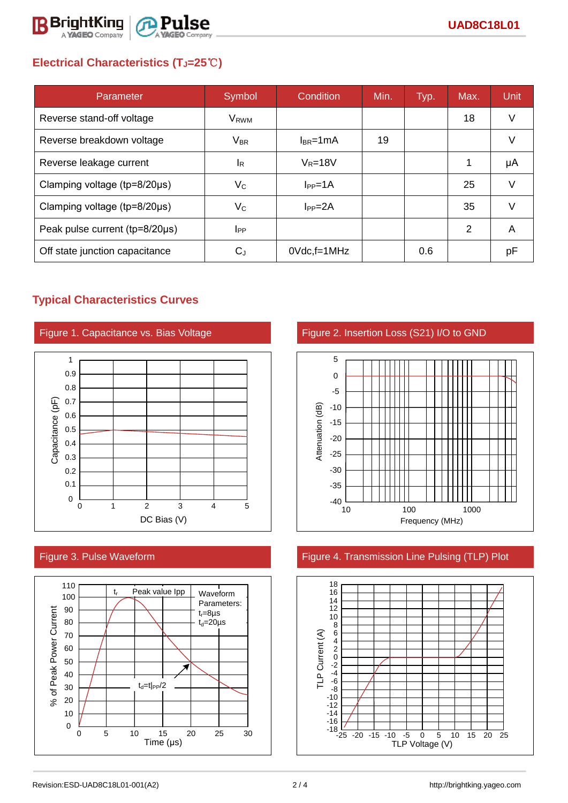

# **Electrical Characteristics (TJ=25**℃**)**

| Parameter                      | Symbol                    | Condition          | Min. | Typ. | Max. | <b>Unit</b> |
|--------------------------------|---------------------------|--------------------|------|------|------|-------------|
| Reverse stand-off voltage      | V <sub>RWM</sub>          |                    |      |      | 18   | V           |
| Reverse breakdown voltage      | <b>V<sub>BR</sub></b>     | $I_{BR}$ =1mA      | 19   |      |      | v           |
| Reverse leakage current        | <sup>I</sup> R            | $V_R = 18V$        |      |      | 1    | μA          |
| Clamping voltage (tp=8/20µs)   | $V_C$                     | $I_{PP} = 1A$      |      |      | 25   | $\vee$      |
| Clamping voltage (tp=8/20µs)   | $\mathsf{V}_{\mathsf{C}}$ | $I_{PP} = 2A$      |      |      | 35   | v           |
| Peak pulse current (tp=8/20µs) | <b>I</b> <sub>PP</sub>    |                    |      |      | 2    | A           |
| Off state junction capacitance | $C_{J}$                   | $0Vdc$ , f=1 $MHz$ |      | 0.6  |      | рF          |

## **Typical Characteristics Curves**









## Figure 3. Pulse Waveform Figure 4. Transmission Line Pulsing (TLP) Plot

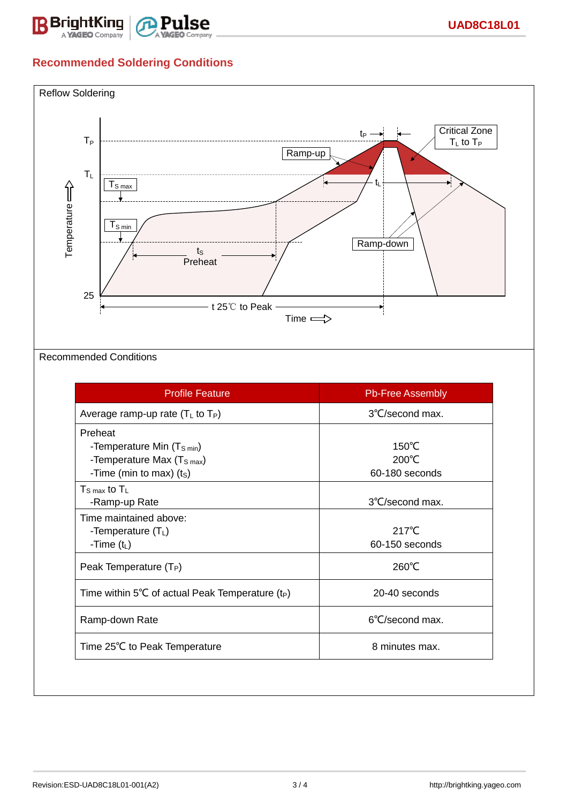

# **Recommended Soldering Conditions**